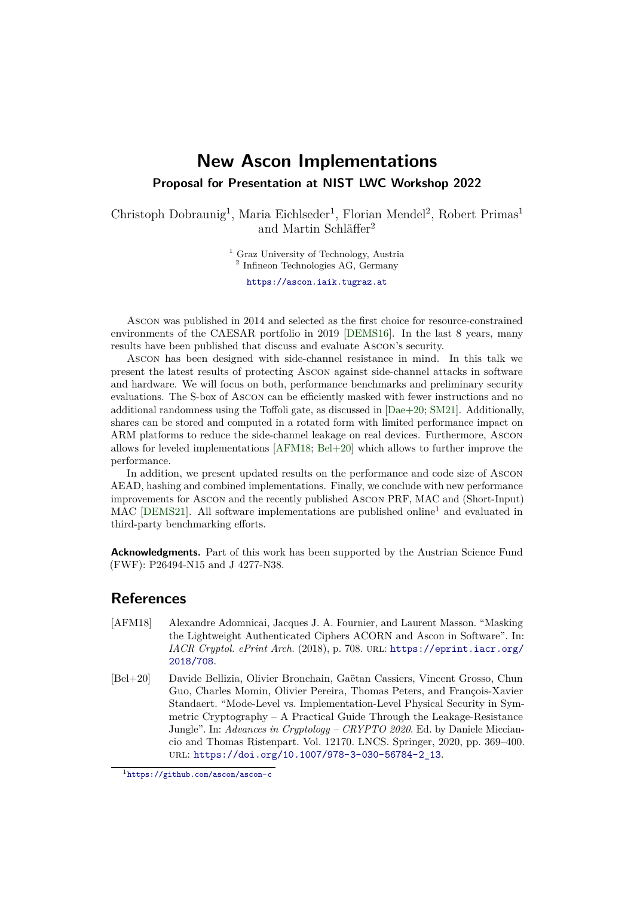## **New Ascon Implementations Proposal for Presentation at NIST LWC Workshop 2022**

Christoph Dobraunig<sup>1</sup>, Maria Eichlseder<sup>1</sup>, Florian Mendel<sup>2</sup>, Robert Primas<sup>1</sup> and Martin Schläffer<sup>2</sup>

<sup>1</sup> Graz University of Technology, Austria

<sup>2</sup> Infineon Technologies AG, Germany

[https://ascon.iaik.tugraz.at](mailto:https://ascon.iaik.tugraz.at)

Ascon was published in 2014 and selected as the first choice for resource-constrained environments of the CAESAR portfolio in 2019 [\[DEMS16\]](#page-1-0). In the last 8 years, many results have been published that discuss and evaluate Ascon's security.

Ascon has been designed with side-channel resistance in mind. In this talk we present the latest results of protecting Ascon against side-channel attacks in software and hardware. We will focus on both, performance benchmarks and preliminary security evaluations. The S-box of Ascon can be efficiently masked with fewer instructions and no additional randomness using the Toffoli gate, as discussed in [\[Dae+20;](#page-1-1) [SM21\]](#page-1-2). Additionally, shares can be stored and computed in a rotated form with limited performance impact on ARM platforms to reduce the side-channel leakage on real devices. Furthermore, Ascon allows for leveled implementations [\[AFM18;](#page-0-0) [Bel+20\]](#page-0-1) which allows to further improve the performance.

In addition, we present updated results on the performance and code size of Ascon AEAD, hashing and combined implementations. Finally, we conclude with new performance improvements for Ascon and the recently published Ascon PRF, MAC and (Short-Input) MAC [\[DEMS21\]](#page-1-3). All software implementations are published online<sup>[1](#page-0-2)</sup> and evaluated in third-party benchmarking efforts.

**Acknowledgments.** Part of this work has been supported by the Austrian Science Fund (FWF): P26494-N15 and J 4277-N38.

## **References**

- <span id="page-0-0"></span>[AFM18] Alexandre Adomnicai, Jacques J. A. Fournier, and Laurent Masson. "Masking the Lightweight Authenticated Ciphers ACORN and Ascon in Software". In: *IACR Cryptol. ePrint Arch.* (2018), p. 708. url: [https://eprint.iacr.org/](https://eprint.iacr.org/2018/708) [2018/708](https://eprint.iacr.org/2018/708).
- <span id="page-0-1"></span>[Bel+20] Davide Bellizia, Olivier Bronchain, Gaëtan Cassiers, Vincent Grosso, Chun Guo, Charles Momin, Olivier Pereira, Thomas Peters, and François-Xavier Standaert. "Mode-Level vs. Implementation-Level Physical Security in Symmetric Cryptography – A Practical Guide Through the Leakage-Resistance Jungle". In: *Advances in Cryptology – CRYPTO 2020*. Ed. by Daniele Micciancio and Thomas Ristenpart. Vol. 12170. LNCS. Springer, 2020, pp. 369–400. url: [https://doi.org/10.1007/978-3-030-56784-2\\_13](https://doi.org/10.1007/978-3-030-56784-2_13).

<span id="page-0-2"></span><sup>1</sup><https://github.com/ascon/ascon-c>